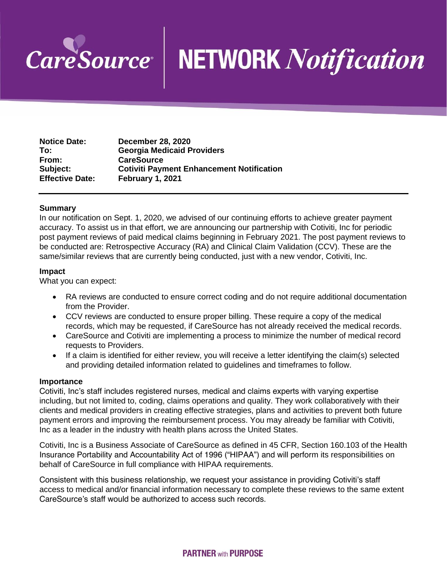

# CareSource | NETWORK Notification

| <b>Notice Date:</b>    | <b>December 28, 2020</b>                         |
|------------------------|--------------------------------------------------|
| To:                    | <b>Georgia Medicaid Providers</b>                |
| From:                  | <b>CareSource</b>                                |
| Subject:               | <b>Cotiviti Payment Enhancement Notification</b> |
| <b>Effective Date:</b> | February 1, 2021                                 |

## **Summary**

**In our notification on Sept. 1, 2020, we advised of our continuing efforts to achieve greater payment accuracy. To assist us in that effort, we are announcing our partnership with Cotiviti, Inc for periodic post payment reviews of paid medical claims beginning in February 2021. The post payment reviews to be conducted are: Retrospective Accuracy (RA) and Clinical Claim Validation (CCV). These are the same/similar reviews that are currently being conducted, just with a new vendor, Cotiviti, Inc.**

### **Impact**

**What you can expect:** 

- **RA reviews are conducted to ensure correct coding and do not require additional documentation from the Provider.**
- **CCV reviews are conducted to ensure proper billing. These require a copy of the medical records, which may be requested, if CareSource has not already received the medical records.**
- **CareSource and Cotiviti are implementing a process to minimize the number of medical record requests to Providers.**
- **If a claim is identified for either review, you will receive a letter identifying the claim(s) selected and providing detailed information related to guidelines and timeframes to follow.**

### **Importance**

**Cotiviti, Inc's staff includes registered nurses, medical and claims experts with varying expertise including, but not limited to, coding, claims operations and quality. They work collaboratively with their clients and medical providers in creating effective strategies, plans and activities to prevent both future payment errors and improving the reimbursement process. You may already be familiar with Cotiviti, Inc as a leader in the industry with health plans across the United States.** 

**Cotiviti, Inc is a Business Associate of CareSource as defined in 45 CFR, Section 160.103 of the Health Insurance Portability and Accountability Act of 1996 ("HIPAA") and will perform its responsibilities on behalf of CareSource in full compliance with HIPAA requirements.**

**Consistent with this business relationship, we request your assistance in providing Cotiviti's staff access to medical and/or financial information necessary to complete these reviews to the same extent CareSource's staff would be authorized to access such records.**